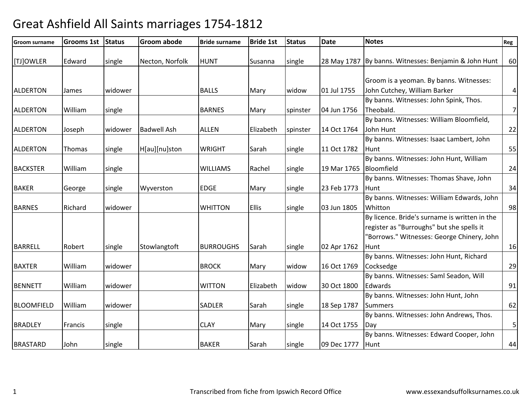| Groom surname     | <b>Grooms 1st</b> | <b>Status</b> | <b>Groom abode</b> | <b>Bride surname</b> | <b>Bride 1st</b> | <b>Status</b> | <b>Date</b>            | <b>Notes</b>                                          | Reg            |
|-------------------|-------------------|---------------|--------------------|----------------------|------------------|---------------|------------------------|-------------------------------------------------------|----------------|
| [TJ]OWLER         | Edward            | single        | Necton, Norfolk    | <b>HUNT</b>          | Susanna          | single        |                        | 28 May 1787 By banns. Witnesses: Benjamin & John Hunt | 60             |
|                   |                   |               |                    |                      |                  |               |                        |                                                       |                |
|                   |                   |               |                    |                      |                  |               |                        | Groom is a yeoman. By banns. Witnesses:               |                |
| <b>ALDERTON</b>   | James             | widower       |                    | <b>BALLS</b>         | Mary             | widow         | 01 Jul 1755            | John Cutchey, William Barker                          | $\sqrt{4}$     |
|                   |                   |               |                    |                      |                  |               |                        | By banns. Witnesses: John Spink, Thos.                |                |
| <b>ALDERTON</b>   | William           | single        |                    | <b>BARNES</b>        | Mary             | spinster      | 04 Jun 1756            | Theobald.                                             | $7\overline{}$ |
|                   |                   |               |                    |                      |                  |               |                        | By banns. Witnesses: William Bloomfield,              |                |
| <b>ALDERTON</b>   | Joseph            | widower       | <b>Badwell Ash</b> | <b>ALLEN</b>         | Elizabeth        | spinster      | 14 Oct 1764            | John Hunt                                             | 22             |
|                   |                   |               |                    |                      |                  |               |                        | By banns. Witnesses: Isaac Lambert, John              |                |
| <b>ALDERTON</b>   | Thomas            | single        | H[au][nu]ston      | <b>WRIGHT</b>        | Sarah            | single        | 11 Oct 1782            | Hunt                                                  | 55             |
|                   |                   |               |                    |                      |                  |               |                        | By banns. Witnesses: John Hunt, William               |                |
| <b>BACKSTER</b>   | William           | single        |                    | <b>WILLIAMS</b>      | Rachel           | single        | 19 Mar 1765 Bloomfield |                                                       | 24             |
|                   |                   |               |                    |                      |                  |               |                        | By banns. Witnesses: Thomas Shave, John               |                |
| <b>BAKER</b>      | George            | single        | Wyverston          | EDGE                 | Mary             | single        | 23 Feb 1773            | Hunt                                                  | 34             |
|                   |                   |               |                    |                      |                  |               |                        | By banns. Witnesses: William Edwards, John            |                |
| <b>BARNES</b>     | Richard           | widower       |                    | <b>WHITTON</b>       | <b>Ellis</b>     | single        | 03 Jun 1805            | Whitton                                               | 98             |
|                   |                   |               |                    |                      |                  |               |                        | By licence. Bride's surname is written in the         |                |
|                   |                   |               |                    |                      |                  |               |                        | register as "Burroughs" but she spells it             |                |
|                   |                   |               |                    |                      |                  |               |                        | "Borrows." Witnesses: George Chinery, John            |                |
| <b>BARRELL</b>    | Robert            | single        | Stowlangtoft       | <b>BURROUGHS</b>     | Sarah            | single        | 02 Apr 1762            | Hunt                                                  | 16             |
|                   |                   |               |                    |                      |                  |               |                        | By banns. Witnesses: John Hunt, Richard               |                |
| <b>BAXTER</b>     | William           | widower       |                    | <b>BROCK</b>         | Mary             | widow         | 16 Oct 1769            | Cocksedge                                             | 29             |
|                   |                   |               |                    |                      |                  |               |                        | By banns. Witnesses: Saml Seadon, Will                |                |
| <b>BENNETT</b>    | William           | widower       |                    | <b>WITTON</b>        | Elizabeth        | widow         | 30 Oct 1800            | Edwards                                               | 91             |
|                   |                   |               |                    |                      |                  |               |                        | By banns. Witnesses: John Hunt, John                  |                |
| <b>BLOOMFIELD</b> | William           | widower       |                    | SADLER               | Sarah            | single        | 18 Sep 1787            | <b>Summers</b>                                        | 62             |
|                   |                   |               |                    |                      |                  |               |                        | By banns. Witnesses: John Andrews, Thos.              |                |
| <b>BRADLEY</b>    | Francis           | single        |                    | <b>CLAY</b>          | Mary             | single        | 14 Oct 1755            | Day                                                   | $\mathsf S$    |
|                   |                   |               |                    |                      |                  |               |                        | By banns. Witnesses: Edward Cooper, John              |                |
| <b>BRASTARD</b>   | John              | single        |                    | <b>BAKER</b>         | Sarah            | single        | 09 Dec 1777            | Hunt                                                  | 44             |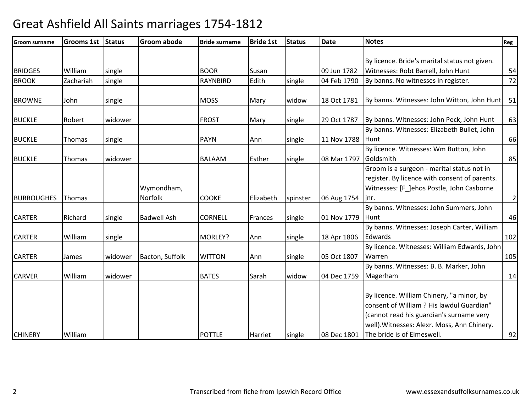| <b>Groom surname</b> | <b>Grooms 1st</b> | <b>Status</b> | <b>Groom abode</b> | <b>Bride surname</b> | <b>Bride 1st</b> | <b>Status</b> | <b>Date</b> | <b>Notes</b>                                  | Reg            |
|----------------------|-------------------|---------------|--------------------|----------------------|------------------|---------------|-------------|-----------------------------------------------|----------------|
|                      |                   |               |                    |                      |                  |               |             |                                               |                |
|                      |                   |               |                    |                      |                  |               |             | By licence. Bride's marital status not given. |                |
| <b>BRIDGES</b>       | William           | single        |                    | <b>BOOR</b>          | Susan            |               | 09 Jun 1782 | Witnesses: Robt Barrell, John Hunt            | 54             |
| <b>BROOK</b>         | Zachariah         | single        |                    | <b>RAYNBIRD</b>      | Edith            | single        | 04 Feb 1790 | By banns. No witnesses in register.           | 72             |
|                      |                   |               |                    |                      |                  |               |             |                                               |                |
| <b>BROWNE</b>        | John              | single        |                    | <b>MOSS</b>          | Mary             | widow         | 18 Oct 1781 | By banns. Witnesses: John Witton, John Hunt   | 51             |
|                      |                   |               |                    |                      |                  |               |             |                                               |                |
| <b>BUCKLE</b>        | Robert            | widower       |                    | <b>FROST</b>         | Mary             | single        | 29 Oct 1787 | By banns. Witnesses: John Peck, John Hunt     | 63             |
|                      |                   |               |                    |                      |                  |               |             | By banns. Witnesses: Elizabeth Bullet, John   |                |
| <b>BUCKLE</b>        | Thomas            | single        |                    | <b>PAYN</b>          | Ann              | single        | 11 Nov 1788 | <b>Hunt</b>                                   | 66             |
|                      |                   |               |                    |                      |                  |               |             | By licence. Witnesses: Wm Button, John        |                |
| <b>BUCKLE</b>        | Thomas            | widower       |                    | <b>BALAAM</b>        | Esther           | single        | 08 Mar 1797 | Goldsmith                                     | 85             |
|                      |                   |               |                    |                      |                  |               |             | Groom is a surgeon - marital status not in    |                |
|                      |                   |               |                    |                      |                  |               |             | register. By licence with consent of parents. |                |
|                      |                   |               | Wymondham,         |                      |                  |               |             | Witnesses: [F_]ehos Postle, John Casborne     |                |
| <b>BURROUGHES</b>    | Thomas            |               | Norfolk            | <b>COOKE</b>         | Elizabeth        | spinster      | 06 Aug 1754 | linr.                                         | $\overline{2}$ |
|                      |                   |               |                    |                      |                  |               |             | By banns. Witnesses: John Summers, John       |                |
| <b>CARTER</b>        | Richard           | single        | <b>Badwell Ash</b> | <b>CORNELL</b>       | Frances          | single        | 01 Nov 1779 | <b>Hunt</b>                                   | 46             |
|                      |                   |               |                    |                      |                  |               |             | By banns. Witnesses: Joseph Carter, William   |                |
| <b>CARTER</b>        | William           | single        |                    | MORLEY?              | Ann              | single        | 18 Apr 1806 | Edwards                                       | 102            |
|                      |                   |               |                    |                      |                  |               |             | By licence. Witnesses: William Edwards, John  |                |
| <b>CARTER</b>        | James             | widower       | Bacton, Suffolk    | <b>WITTON</b>        | Ann              | single        | 05 Oct 1807 | Warren                                        | 105            |
|                      |                   |               |                    |                      |                  |               |             | By banns. Witnesses: B. B. Marker, John       |                |
| <b>CARVER</b>        | William           | widower       |                    | <b>BATES</b>         | Sarah            | widow         | 04 Dec 1759 | Magerham                                      | 14             |
|                      |                   |               |                    |                      |                  |               |             |                                               |                |
|                      |                   |               |                    |                      |                  |               |             | By licence. William Chinery, "a minor, by     |                |
|                      |                   |               |                    |                      |                  |               |             | consent of William ? His lawdul Guardian"     |                |
|                      |                   |               |                    |                      |                  |               |             | (cannot read his guardian's surname very      |                |
|                      |                   |               |                    |                      |                  |               |             | well). Witnesses: Alexr. Moss, Ann Chinery.   |                |
| <b>CHINERY</b>       | William           |               |                    | <b>POTTLE</b>        | <b>Harriet</b>   | single        | 08 Dec 1801 | The bride is of Elmeswell.                    | 92             |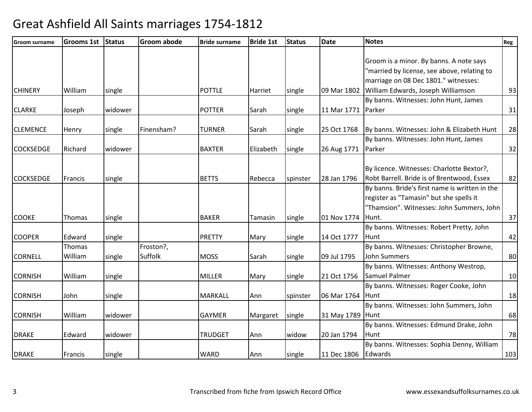| <b>Groom surname</b> | <b>Grooms 1st</b> | <b>Status</b> | <b>Groom abode</b> | <b>Bride surname</b> | <b>Bride 1st</b> | <b>Status</b> | <b>Date</b>         | <b>Notes</b>                                   | Reg |
|----------------------|-------------------|---------------|--------------------|----------------------|------------------|---------------|---------------------|------------------------------------------------|-----|
|                      |                   |               |                    |                      |                  |               |                     |                                                |     |
|                      |                   |               |                    |                      |                  |               |                     | Groom is a minor. By banns. A note says        |     |
|                      |                   |               |                    |                      |                  |               |                     | "married by license, see above, relating to    |     |
|                      |                   |               |                    |                      |                  |               |                     | marriage on 08 Dec 1801." witnesses:           |     |
| <b>CHINERY</b>       | William           | single        |                    | <b>POTTLE</b>        | Harriet          | single        | 09 Mar 1802         | William Edwards, Joseph Williamson             | 93  |
|                      |                   |               |                    |                      |                  |               |                     | By banns. Witnesses: John Hunt, James          |     |
| <b>CLARKE</b>        | Joseph            | widower       |                    | <b>POTTER</b>        | Sarah            | single        | 11 Mar 1771         | Parker                                         | 31  |
| <b>CLEMENCE</b>      | Henry             | single        | Finensham?         | <b>TURNER</b>        | Sarah            | single        | 25 Oct 1768         | By banns. Witnesses: John & Elizabeth Hunt     | 28  |
|                      |                   |               |                    |                      |                  |               |                     | By banns. Witnesses: John Hunt, James          |     |
| <b>COCKSEDGE</b>     | Richard           | widower       |                    | <b>BAXTER</b>        | Elizabeth        | single        | 26 Aug 1771         | Parker                                         | 32  |
|                      |                   |               |                    |                      |                  |               |                     |                                                |     |
|                      |                   |               |                    |                      |                  |               |                     | By licence. Witnesses: Charlotte Bextor?,      |     |
| <b>COCKSEDGE</b>     | Francis           | single        |                    | <b>BETTS</b>         | Rebecca          | spinster      | 28 Jan 1796         | Robt Barrell. Bride is of Brentwood, Essex     | 82  |
|                      |                   |               |                    |                      |                  |               |                     | By banns. Bride's first name is written in the |     |
|                      |                   |               |                    |                      |                  |               |                     | register as "Tamasin" but she spells it        |     |
|                      |                   |               |                    |                      |                  |               |                     | "Thamsion". Witnesses: John Summers, John      |     |
| <b>COOKE</b>         | <b>Thomas</b>     | single        |                    | <b>BAKER</b>         | Tamasin          | single        | 01 Nov 1774         | Hunt.                                          | 37  |
|                      |                   |               |                    |                      |                  |               |                     | By banns. Witnesses: Robert Pretty, John       |     |
| <b>COOPER</b>        | Edward            | single        |                    | <b>PRETTY</b>        | Mary             | single        | 14 Oct 1777         | Hunt                                           | 42  |
|                      | Thomas            |               | Froston?,          |                      |                  |               |                     | By banns. Witnesses: Christopher Browne,       |     |
| <b>CORNELL</b>       | William           | single        | Suffolk            | <b>MOSS</b>          | Sarah            | single        | 09 Jul 1795         | <b>John Summers</b>                            | 80  |
|                      |                   |               |                    |                      |                  |               |                     | By banns. Witnesses: Anthony Westrop,          |     |
| <b>CORNISH</b>       | William           | single        |                    | <b>MILLER</b>        | Mary             | single        | 21 Oct 1756         | Samuel Palmer                                  | 10  |
|                      |                   |               |                    |                      |                  |               |                     | By banns. Witnesses: Roger Cooke, John         |     |
| <b>CORNISH</b>       | John              | single        |                    | <b>MARKALL</b>       | Ann              | spinster      | 06 Mar 1764         | Hunt                                           | 18  |
|                      |                   |               |                    |                      |                  |               |                     | By banns. Witnesses: John Summers, John        |     |
| <b>CORNISH</b>       | William           | widower       |                    | <b>GAYMER</b>        | Margaret         | single        | 31 May 1789 Hunt    |                                                | 68  |
|                      |                   |               |                    |                      |                  |               |                     | By banns. Witnesses: Edmund Drake, John        |     |
| <b>DRAKE</b>         | Edward            | widower       |                    | <b>TRUDGET</b>       | Ann              | widow         | 20 Jan 1794         | Hunt                                           | 78  |
|                      |                   |               |                    |                      |                  |               |                     | By banns. Witnesses: Sophia Denny, William     |     |
| <b>DRAKE</b>         | Francis           | single        |                    | <b>WARD</b>          | Ann              | single        | 11 Dec 1806 Edwards |                                                | 103 |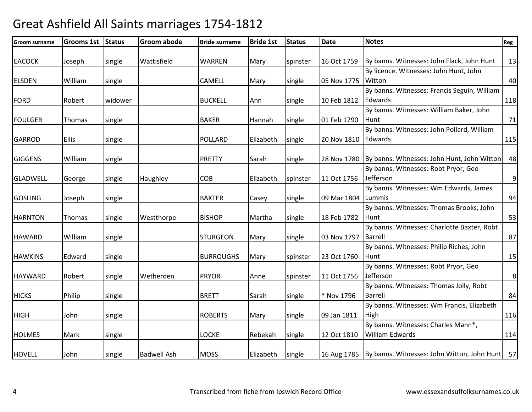| <b>Groom surname</b> | <b>Grooms 1st</b> | Status  | <b>Groom abode</b> | <b>Bride surname</b> | <b>Bride 1st</b> | <b>Status</b> | <b>Date</b>         | <b>Notes</b>                                                   | Reg              |
|----------------------|-------------------|---------|--------------------|----------------------|------------------|---------------|---------------------|----------------------------------------------------------------|------------------|
| <b>EACOCK</b>        | Joseph            | single  | Wattisfield        | <b>WARREN</b>        | Mary             | spinster      | 16 Oct 1759         | By banns. Witnesses: John Flack, John Hunt                     | 13               |
|                      |                   |         |                    |                      |                  |               |                     | By licence. Witnesses: John Hunt, John                         |                  |
| <b>ELSDEN</b>        | William           | single  |                    | CAMELL               | Mary             | single        | 05 Nov 1775         | Witton                                                         | 40               |
|                      |                   |         |                    |                      |                  |               |                     | By banns. Witnesses: Francis Seguin, William                   |                  |
| <b>FORD</b>          | Robert            | widower |                    | <b>BUCKELL</b>       | Ann              | single        | 10 Feb 1812         | Edwards                                                        | 118              |
|                      |                   |         |                    |                      |                  |               |                     | By banns. Witnesses: William Baker, John                       |                  |
| <b>FOULGER</b>       | Thomas            | single  |                    | <b>BAKER</b>         | Hannah           | single        | 01 Feb 1790         | Hunt                                                           | 71               |
|                      |                   |         |                    |                      |                  |               |                     | By banns. Witnesses: John Pollard, William                     |                  |
| <b>GARROD</b>        | <b>Ellis</b>      | single  |                    | <b>POLLARD</b>       | Elizabeth        | single        | 20 Nov 1810 Edwards |                                                                | 115              |
|                      |                   |         |                    |                      |                  |               |                     |                                                                |                  |
| <b>GIGGENS</b>       | William           | single  |                    | <b>PRETTY</b>        | Sarah            | single        |                     | 28 Nov 1780 By banns. Witnesses: John Hunt, John Witton        | 48               |
|                      |                   |         |                    |                      |                  |               |                     | By banns. Witnesses: Robt Pryor, Geo                           |                  |
| <b>GLADWELL</b>      | George            | single  | Haughley           | <b>COB</b>           | Elizabeth        | spinster      | 11 Oct 1756         | Jefferson                                                      | $\boldsymbol{9}$ |
|                      |                   |         |                    |                      |                  |               |                     | By banns. Witnesses: Wm Edwards, James                         |                  |
| <b>GOSLING</b>       | Joseph            | single  |                    | <b>BAXTER</b>        | Casey            | single        | 09 Mar 1804 Lummis  |                                                                | 94               |
|                      |                   |         |                    |                      |                  |               |                     | By banns. Witnesses: Thomas Brooks, John                       |                  |
| <b>HARNTON</b>       | Thomas            | single  | Westthorpe         | <b>BISHOP</b>        | Martha           | single        | 18 Feb 1782         | Hunt                                                           | 53               |
|                      |                   |         |                    |                      |                  |               |                     | By banns. Witnesses: Charlotte Baxter, Robt                    |                  |
| <b>HAWARD</b>        | William           | single  |                    | <b>STURGEON</b>      | Mary             | single        | 03 Nov 1797         | Barrell                                                        | 87               |
|                      |                   |         |                    |                      |                  |               |                     | By banns. Witnesses: Philip Riches, John                       |                  |
| <b>HAWKINS</b>       | Edward            | single  |                    | <b>BURROUGHS</b>     | Mary             | spinster      | 23 Oct 1760         | Hunt                                                           | 15               |
|                      |                   |         |                    |                      |                  |               |                     | By banns. Witnesses: Robt Pryor, Geo                           |                  |
| <b>HAYWARD</b>       | Robert            | single  | Wetherden          | <b>PRYOR</b>         | Anne             | spinster      | 11 Oct 1756         | Jefferson                                                      | $\bf 8$          |
|                      |                   |         |                    |                      |                  |               |                     | By banns. Witnesses: Thomas Jolly, Robt                        |                  |
| <b>HICKS</b>         | Philip            | single  |                    | <b>BRETT</b>         | Sarah            | single        | * Nov 1796          | <b>Barrell</b>                                                 | 84               |
|                      |                   |         |                    |                      |                  |               |                     | By banns. Witnesses: Wm Francis, Elizabeth                     |                  |
| <b>HIGH</b>          | John              | single  |                    | <b>ROBERTS</b>       | Mary             | single        | 09 Jan 1811         | High                                                           | 116              |
|                      |                   |         |                    |                      |                  |               |                     | By banns. Witnesses: Charles Mann*,                            |                  |
| <b>HOLMES</b>        | Mark              | single  |                    | <b>LOCKE</b>         | Rebekah          | single        | 12 Oct 1810         | <b>William Edwards</b>                                         | 114              |
| <b>HOVELL</b>        | John              | single  | <b>Badwell Ash</b> | <b>MOSS</b>          | Elizabeth        | single        |                     | 16 Aug 1785   By banns. Witnesses: John Witton, John Hunt   57 |                  |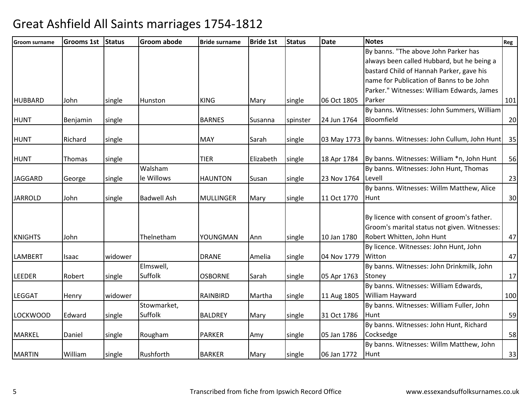| Groom surname   | <b>Grooms 1st</b> | <b>Status</b> | <b>Groom abode</b> | <b>Bride surname</b> | <b>Bride 1st</b> | <b>Status</b> | <b>Date</b> | <b>Notes</b>                                               | Reg |
|-----------------|-------------------|---------------|--------------------|----------------------|------------------|---------------|-------------|------------------------------------------------------------|-----|
|                 |                   |               |                    |                      |                  |               |             | By banns. "The above John Parker has                       |     |
|                 |                   |               |                    |                      |                  |               |             | always been called Hubbard, but he being a                 |     |
|                 |                   |               |                    |                      |                  |               |             | bastard Child of Hannah Parker, gave his                   |     |
|                 |                   |               |                    |                      |                  |               |             | name for Publication of Banns to be John                   |     |
|                 |                   |               |                    |                      |                  |               |             | Parker." Witnesses: William Edwards, James                 |     |
| <b>HUBBARD</b>  | John              | single        | Hunston            | <b>KING</b>          | Mary             | single        | 06 Oct 1805 | Parker                                                     | 101 |
|                 |                   |               |                    |                      |                  |               |             | By banns. Witnesses: John Summers, William                 |     |
| <b>HUNT</b>     | Benjamin          | single        |                    | <b>BARNES</b>        | Susanna          | spinster      | 24 Jun 1764 | Bloomfield                                                 | 20  |
| <b>HUNT</b>     | Richard           | single        |                    | <b>MAY</b>           | Sarah            | single        |             | 03 May 1773 By banns. Witnesses: John Cullum, John Hunt 35 |     |
|                 |                   |               |                    |                      |                  |               |             |                                                            |     |
| <b>HUNT</b>     | Thomas            | single        |                    | <b>TIER</b>          | Elizabeth        | single        | 18 Apr 1784 | By banns. Witnesses: William *n, John Hunt                 | 56  |
|                 |                   |               | Walsham            |                      |                  |               |             | By banns. Witnesses: John Hunt, Thomas                     |     |
| <b>JAGGARD</b>  | George            | single        | le Willows         | <b>HAUNTON</b>       | Susan            | single        | 23 Nov 1764 | Levell                                                     | 23  |
|                 |                   |               |                    |                      |                  |               |             | By banns. Witnesses: Willm Matthew, Alice                  |     |
| <b>JARROLD</b>  | John              | single        | <b>Badwell Ash</b> | <b>MULLINGER</b>     | Mary             | single        | 11 Oct 1770 | Hunt                                                       | 30  |
|                 |                   |               |                    |                      |                  |               |             | By licence with consent of groom's father.                 |     |
|                 |                   |               |                    |                      |                  |               |             | Groom's marital status not given. Witnesses:               |     |
| <b>KNIGHTS</b>  | John              |               | Thelnetham         | YOUNGMAN             | Ann              | single        | 10 Jan 1780 | Robert Whitten, John Hunt                                  | 47  |
|                 |                   |               |                    |                      |                  |               |             | By licence. Witnesses: John Hunt, John                     |     |
| LAMBERT         | Isaac             | widower       |                    | <b>DRANE</b>         | Amelia           | single        | 04 Nov 1779 | Witton                                                     | 47  |
|                 |                   |               | Elmswell,          |                      |                  |               |             | By banns. Witnesses: John Drinkmilk, John                  |     |
| <b>LEEDER</b>   | Robert            | single        | Suffolk            | <b>OSBORNE</b>       | Sarah            | single        | 05 Apr 1763 | Stoney                                                     | 17  |
|                 |                   |               |                    |                      |                  |               |             | By banns. Witnesses: William Edwards,                      |     |
| LEGGAT          | Henry             | widower       |                    | <b>RAINBIRD</b>      | Martha           | single        | 11 Aug 1805 | William Hayward                                            | 100 |
|                 |                   |               | Stowmarket,        |                      |                  |               |             | By banns. Witnesses: William Fuller, John                  |     |
| <b>LOCKWOOD</b> | Edward            | single        | Suffolk            | <b>BALDREY</b>       | Mary             | single        | 31 Oct 1786 | Hunt                                                       | 59  |
|                 |                   |               |                    |                      |                  |               |             | By banns. Witnesses: John Hunt, Richard                    |     |
| <b>MARKEL</b>   | Daniel            | single        | Rougham            | <b>PARKER</b>        | Amy              | single        | 05 Jan 1786 | Cocksedge                                                  | 58  |
|                 |                   |               |                    |                      |                  |               |             | By banns. Witnesses: Willm Matthew, John                   |     |
| <b>MARTIN</b>   | William           | single        | Rushforth          | <b>BARKER</b>        | Mary             | single        | 06 Jan 1772 | Hunt                                                       | 33  |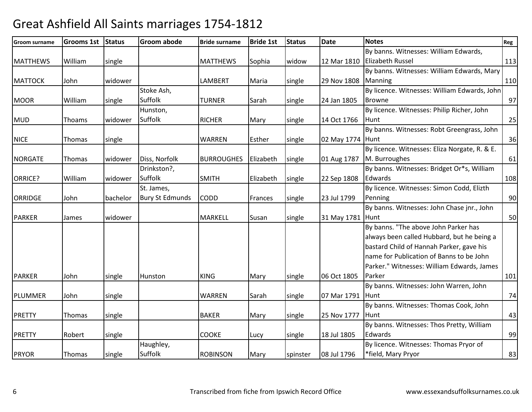| Groom surname   | <b>Grooms 1st</b> | Status   | <b>Groom abode</b>     | <b>Bride surname</b> | <b>Bride 1st</b> | <b>Status</b> | <b>Date</b>      | <b>Notes</b>                                  | Reg |
|-----------------|-------------------|----------|------------------------|----------------------|------------------|---------------|------------------|-----------------------------------------------|-----|
|                 |                   |          |                        |                      |                  |               |                  | By banns. Witnesses: William Edwards,         |     |
| <b>MATTHEWS</b> | William           | single   |                        | <b>MATTHEWS</b>      | Sophia           | widow         |                  | 12 Mar 1810 Elizabeth Russel                  | 113 |
|                 |                   |          |                        |                      |                  |               |                  | By banns. Witnesses: William Edwards, Mary    |     |
| <b>MATTOCK</b>  | John              | widower  |                        | LAMBERT              | Maria            | single        | 29 Nov 1808      | Manning                                       | 110 |
|                 |                   |          | Stoke Ash,             |                      |                  |               |                  | By licence. Witnesses: William Edwards, John  |     |
| <b>MOOR</b>     | William           | single   | Suffolk                | <b>TURNER</b>        | Sarah            | single        | 24 Jan 1805      | <b>Browne</b>                                 | 97  |
|                 |                   |          | Hunston,               |                      |                  |               |                  | By licence. Witnesses: Philip Richer, John    |     |
| <b>MUD</b>      | Thoams            | widower  | Suffolk                | <b>RICHER</b>        | Mary             | single        | 14 Oct 1766      | Hunt                                          | 25  |
|                 |                   |          |                        |                      |                  |               |                  | By banns. Witnesses: Robt Greengrass, John    |     |
| <b>NICE</b>     | Thomas            | single   |                        | <b>WARREN</b>        | Esther           | single        | 02 May 1774 Hunt |                                               | 36  |
|                 |                   |          |                        |                      |                  |               |                  | By licence. Witnesses: Eliza Norgate, R. & E. |     |
| <b>NORGATE</b>  | Thomas            | widower  | Diss, Norfolk          | <b>BURROUGHES</b>    | Elizabeth        | single        | 01 Aug 1787      | M. Burroughes                                 | 61  |
|                 |                   |          | Drinkston?,            |                      |                  |               |                  | By banns. Witnesses: Bridget Or*s, William    |     |
| ORRICE?         | William           | widower  | <b>Suffolk</b>         | <b>SMITH</b>         | Elizabeth        | single        | 22 Sep 1808      | Edwards                                       | 108 |
|                 |                   |          | St. James,             |                      |                  |               |                  | By licence. Witnesses: Simon Codd, Elizth     |     |
| <b>ORRIDGE</b>  | John              | bachelor | <b>Bury St Edmunds</b> | <b>CODD</b>          | Frances          | single        | 23 Jul 1799      | Penning                                       | 90  |
|                 |                   |          |                        |                      |                  |               |                  | By banns. Witnesses: John Chase jnr., John    |     |
| <b>PARKER</b>   | James             | widower  |                        | <b>MARKELL</b>       | Susan            | single        | 31 May 1781 Hunt |                                               | 50  |
|                 |                   |          |                        |                      |                  |               |                  | By banns. "The above John Parker has          |     |
|                 |                   |          |                        |                      |                  |               |                  | always been called Hubbard, but he being a    |     |
|                 |                   |          |                        |                      |                  |               |                  | bastard Child of Hannah Parker, gave his      |     |
|                 |                   |          |                        |                      |                  |               |                  | name for Publication of Banns to be John      |     |
|                 |                   |          |                        |                      |                  |               |                  | Parker." Witnesses: William Edwards, James    |     |
| <b>PARKER</b>   | John              | single   | Hunston                | <b>KING</b>          | Mary             | single        | 06 Oct 1805      | Parker                                        | 101 |
|                 |                   |          |                        |                      |                  |               |                  | By banns. Witnesses: John Warren, John        |     |
| PLUMMER         | John              | single   |                        | <b>WARREN</b>        | Sarah            | single        | 07 Mar 1791      | Hunt                                          | 74  |
|                 |                   |          |                        |                      |                  |               |                  | By banns. Witnesses: Thomas Cook, John        |     |
| <b>PRETTY</b>   | Thomas            | single   |                        | <b>BAKER</b>         | Mary             | single        | 25 Nov 1777      | Hunt                                          | 43  |
|                 |                   |          |                        |                      |                  |               |                  | By banns. Witnesses: Thos Pretty, William     |     |
| <b>PRETTY</b>   | Robert            | single   |                        | <b>COOKE</b>         | Lucy             | single        | 18 Jul 1805      | Edwards                                       | 99  |
|                 |                   |          | Haughley,              |                      |                  |               |                  | By licence. Witnesses: Thomas Pryor of        |     |
| PRYOR           | Thomas            | single   | Suffolk                | <b>ROBINSON</b>      | Mary             | spinster      | 08 Jul 1796      | *field, Mary Pryor                            | 83  |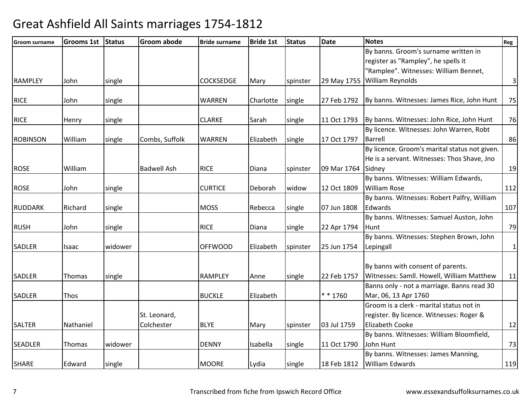| <b>Groom surname</b> | <b>Grooms 1st</b> | Status  | <b>Groom abode</b>         | <b>Bride surname</b> | <b>Bride 1st</b> | <b>Status</b> | <b>Date</b> | <b>Notes</b>                                                                                                         | Reg             |
|----------------------|-------------------|---------|----------------------------|----------------------|------------------|---------------|-------------|----------------------------------------------------------------------------------------------------------------------|-----------------|
|                      |                   |         |                            |                      |                  |               |             | By banns. Groom's surname written in<br>register as "Rampley", he spells it<br>"Ramplee". Witnesses: William Bennet, |                 |
| <b>RAMPLEY</b>       | John              | single  |                            | <b>COCKSEDGE</b>     | Mary             | spinster      | 29 May 1755 | William Reynolds                                                                                                     | $\vert$ 3       |
| <b>RICE</b>          | John              | single  |                            | WARREN               | Charlotte        | single        | 27 Feb 1792 | By banns. Witnesses: James Rice, John Hunt                                                                           | 75              |
| <b>RICE</b>          | Henry             | single  |                            | <b>CLARKE</b>        | Sarah            | single        | 11 Oct 1793 | By banns. Witnesses: John Rice, John Hunt                                                                            | 76              |
| <b>ROBINSON</b>      | William           | single  | Combs, Suffolk             | <b>WARREN</b>        | Elizabeth        | single        | 17 Oct 1797 | By licence. Witnesses: John Warren, Robt<br><b>Barrell</b>                                                           | 86              |
|                      |                   |         |                            |                      |                  |               |             | By licence. Groom's marital status not given.<br>He is a servant. Witnesses: Thos Shave, Jno                         |                 |
| <b>ROSE</b>          | William           |         | <b>Badwell Ash</b>         | <b>RICE</b>          | Diana            | spinster      | 09 Mar 1764 | Sidney                                                                                                               | 19              |
| <b>ROSE</b>          | John              | single  |                            | <b>CURTICE</b>       | Deborah          | widow         | 12 Oct 1809 | By banns. Witnesses: William Edwards,<br><b>William Rose</b>                                                         | 112             |
| <b>RUDDARK</b>       | Richard           | single  |                            | <b>MOSS</b>          | Rebecca          | single        | 07 Jun 1808 | By banns. Witnesses: Robert Palfry, William<br>Edwards                                                               | 107             |
| <b>RUSH</b>          | John              | single  |                            | <b>RICE</b>          | Diana            | single        | 22 Apr 1794 | By banns. Witnesses: Samuel Auston, John<br>Hunt                                                                     | 79              |
| <b>SADLER</b>        | Isaac             | widower |                            | <b>OFFWOOD</b>       | Elizabeth        | spinster      | 25 Jun 1754 | By banns. Witnesses: Stephen Brown, John<br>Lepingall                                                                | $1\overline{)}$ |
| <b>SADLER</b>        | Thomas            | single  |                            | <b>RAMPLEY</b>       | Anne             | single        | 22 Feb 1757 | By banns with consent of parents.<br>Witnesses: Samll. Howell, William Matthew                                       | 11              |
| <b>SADLER</b>        | Thos              |         |                            | <b>BUCKLE</b>        | Elizabeth        |               | * * 1760    | Banns only - not a marriage. Banns read 30<br>Mar, 06, 13 Apr 1760                                                   |                 |
|                      |                   |         | St. Leonard,<br>Colchester |                      |                  |               |             | Groom is a clerk - marital status not in<br>register. By licence. Witnesses: Roger &<br><b>Elizabeth Cooke</b>       |                 |
| <b>SALTER</b>        | Nathaniel         |         |                            | <b>BLYE</b>          | Mary             | spinster      | 03 Jul 1759 | By banns. Witnesses: William Bloomfield,                                                                             | 12              |
| <b>SEADLER</b>       | Thomas            | widower |                            | <b>DENNY</b>         | Isabella         | single        | 11 Oct 1790 | John Hunt                                                                                                            | 73              |
| <b>SHARE</b>         | Edward            | single  |                            | <b>MOORE</b>         | Lydia            | single        |             | By banns. Witnesses: James Manning,<br>18 Feb 1812   William Edwards                                                 | 119             |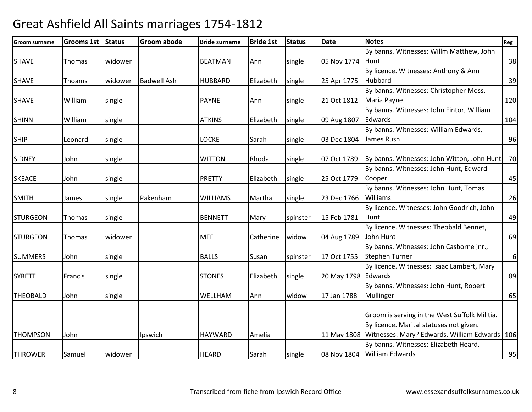| Groom surname   | <b>Grooms 1st</b> | Status  | <b>Groom abode</b> | <b>Bride surname</b> | <b>Bride 1st</b> | <b>Status</b> | Date                | <b>Notes</b>                                              | Reg      |
|-----------------|-------------------|---------|--------------------|----------------------|------------------|---------------|---------------------|-----------------------------------------------------------|----------|
|                 |                   |         |                    |                      |                  |               |                     | By banns. Witnesses: Willm Matthew, John                  |          |
| <b>SHAVE</b>    | Thomas            | widower |                    | <b>BEATMAN</b>       | Ann              | single        | 05 Nov 1774         | <b>Hunt</b>                                               | 38       |
|                 |                   |         |                    |                      |                  |               |                     | By licence. Witnesses: Anthony & Ann                      |          |
| <b>SHAVE</b>    | Thoams            | widower | <b>Badwell Ash</b> | <b>HUBBARD</b>       | Elizabeth        | single        | 25 Apr 1775         | Hubbard                                                   | 39       |
|                 |                   |         |                    |                      |                  |               |                     | By banns. Witnesses: Christopher Moss,                    |          |
| <b>SHAVE</b>    | William           | single  |                    | <b>PAYNE</b>         | Ann              | single        | 21 Oct 1812         | Maria Payne                                               | 120      |
|                 |                   |         |                    |                      |                  |               |                     | By banns. Witnesses: John Fintor, William                 |          |
| <b>SHINN</b>    | William           | single  |                    | <b>ATKINS</b>        | Elizabeth        | single        | 09 Aug 1807         | Edwards                                                   | 104      |
|                 |                   |         |                    |                      |                  |               |                     | By banns. Witnesses: William Edwards,                     |          |
| <b>SHIP</b>     | Leonard           | single  |                    | <b>LOCKE</b>         | Sarah            | single        | 03 Dec 1804         | James Rush                                                | 96       |
|                 |                   |         |                    |                      |                  |               |                     |                                                           |          |
| <b>SIDNEY</b>   | John              | single  |                    | <b>WITTON</b>        | Rhoda            | single        | 07 Oct 1789         | By banns. Witnesses: John Witton, John Hunt               | 70       |
|                 |                   |         |                    |                      |                  |               |                     | By banns. Witnesses: John Hunt, Edward                    |          |
| <b>SKEACE</b>   | John              | single  |                    | <b>PRETTY</b>        | Elizabeth        | single        | 25 Oct 1779         | Cooper                                                    | 45       |
|                 |                   |         |                    |                      |                  |               |                     | By banns. Witnesses: John Hunt, Tomas                     |          |
| <b>SMITH</b>    | James             | single  | Pakenham           | <b>WILLIAMS</b>      | Martha           | single        | 23 Dec 1766         | Williams                                                  | 26       |
|                 |                   |         |                    |                      |                  |               |                     | By licence. Witnesses: John Goodrich, John                |          |
| <b>STURGEON</b> | Thomas            | single  |                    | <b>BENNETT</b>       | Mary             | spinster      | 15 Feb 1781         | lHunt                                                     | 49       |
|                 |                   |         |                    |                      |                  |               |                     | By licence. Witnesses: Theobald Bennet,                   |          |
| <b>STURGEON</b> | Thomas            | widower |                    | <b>MEE</b>           | Catherine        | widow         | 04 Aug 1789         | John Hunt                                                 | 69       |
|                 |                   |         |                    |                      |                  |               |                     | By banns. Witnesses: John Casborne jnr.,                  |          |
| <b>SUMMERS</b>  | John              | single  |                    | <b>BALLS</b>         | Susan            | spinster      | 17 Oct 1755         | <b>Stephen Turner</b>                                     | $6 \mid$ |
|                 |                   |         |                    |                      |                  |               |                     | By licence. Witnesses: Isaac Lambert, Mary                |          |
| <b>SYRETT</b>   | Francis           | single  |                    | <b>STONES</b>        | Elizabeth        | single        | 20 May 1798 Edwards |                                                           | 89       |
|                 |                   |         |                    |                      |                  |               |                     | By banns. Witnesses: John Hunt, Robert                    |          |
| <b>THEOBALD</b> | John              | single  |                    | WELLHAM              | Ann              | widow         | 17 Jan 1788         | Mullinger                                                 | 65       |
|                 |                   |         |                    |                      |                  |               |                     |                                                           |          |
|                 |                   |         |                    |                      |                  |               |                     | Groom is serving in the West Suffolk Militia.             |          |
|                 |                   |         |                    |                      |                  |               |                     | By licence. Marital statuses not given.                   |          |
| <b>THOMPSON</b> | John              |         | Ipswich            | <b>HAYWARD</b>       | Amelia           |               |                     | 11 May 1808 Witnesses: Mary? Edwards, William Edwards 106 |          |
|                 |                   |         |                    |                      |                  |               |                     | By banns. Witnesses: Elizabeth Heard,                     |          |
| <b>THROWER</b>  | Samuel            | widower |                    | <b>HEARD</b>         | Sarah            | single        |                     | 08 Nov 1804 William Edwards                               | 95       |